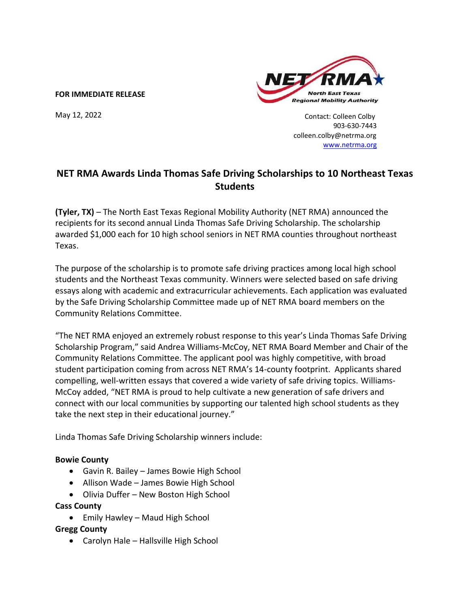#### **FOR IMMEDIATE RELEASE**

May 12, 2022



 Contact: Colleen Colby 903-630-7443 colleen.colby@netrma.org [www.netrma.org](http://www.netrma.org/) 

# **NET RMA Awards Linda Thomas Safe Driving Scholarships to 10 Northeast Texas Students**

**(Tyler, TX)** – The North East Texas Regional Mobility Authority (NET RMA) announced the recipients for its second annual Linda Thomas Safe Driving Scholarship. [The scholarship](http://www.netrma.org/) awarded \$1,000 each for 10 high school seniors in NET RMA counties throughout northeast Texas.

The purpose of the scholarship is to promote safe driving practices among local high school students and the Northeast Texas community. Winners were selected based on safe driving essays along with academic and extracurricular achievements. Each application was evaluated by the Safe Driving Scholarship Committee made up of NET RMA board members on the Community Relations Committee. practices among loc

"The NET RMA enjoyed an extremely robust response to this year's Linda Thomas Safe Driving Scholarship Program," said Andrea Williams-McCoy, NET RMA Board Member and Chair of the Community Relations Committee. The applicant pool was highly competitive, with broad student participation coming from across NET RMA's 14-county footprint. Applicants shared compelling, well-written essays that covered a wide variety of safe driving topics. Williams-McCoy added, "NET RMA is proud to help cultivate a new generation of safe drivers and connect with our local communities by supporting our talented high school students as they take the next step in their educational journey."

Linda Thomas Safe Driving Scholarship winners include:

### **Bowie County**

- Gavin R. Bailey James Bowie High School
- Allison Wade James Bowie High School
- Olivia Duffer New Boston High School

### **Cass County**

• Emily Hawley – Maud High School

### **Gregg County**

• Carolyn Hale – Hallsville High School